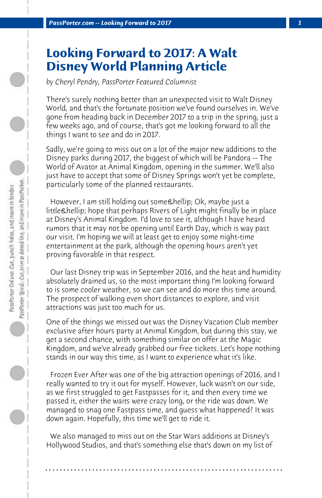## **Looking Forward to 2017: A Walt Disney World Planning Article**

*by Cheryl Pendry, PassPorter Featured Columnist*

There's surely nothing better than an unexpected visit to Walt Disney World, and that's the fortunate position we've found ourselves in. We've gone from heading back in December 2017 to a trip in the spring, just a few weeks ago, and of course, that's got me looking forward to all the things I want to see and do in 2017.

Sadly, we're going to miss out on a lot of the major new additions to the Disney parks during 2017, the biggest of which will be Pandora -- The World of Avator at Animal Kingdom, opening in the summer. We'll also just have to accept that some of Disney Springs won't yet be complete, particularly some of the planned restaurants.

However, I am still holding out some & hellip; Ok, maybe just a little & hellip; hope that perhaps Rivers of Light might finally be in place at Disney's Animal Kingdom. I'd love to see it, although I have heard rumors that it may not be opening until Earth Day, which is way past our visit. I'm hoping we will at least get to enjoy some night-time entertainment at the park, although the opening hours aren't yet proving favorable in that respect.

 Our last Disney trip was in September 2016, and the heat and humidity absolutely drained us, so the most important thing I'm looking forward to is some cooler weather, so we can see and do more this time around. The prospect of walking even short distances to explore, and visit attractions was just too much for us.

One of the things we missed out was the Disney Vacation Club member exclusive after hours party at Animal Kingdom, but during this stay, we get a second chance, with something similar on offer at the Magic Kingdom, and we've already grabbed our free tickets. Let's hope nothing stands in our way this time, as I want to experience what it's like.

 Frozen Ever After was one of the big attraction openings of 2016, and I really wanted to try it out for myself. However, luck wasn't on our side, as we first struggled to get Fastpasses for it, and then every time we passed it, either the waits were crazy long, or the ride was down. We managed to snag one Fastpass time, and guess what happened? It was down again. Hopefully, this time we'll get to ride it.

 We also managed to miss out on the Star Wars additions at Disney's Hollywood Studios, and that's something else that's down on my list of

**. . . . . . . . . . . . . . . . . . . . . . . . . . . . . . . . . . . . . . . . . . . . . . . . . . . . . . . . . . . . . . . . . .**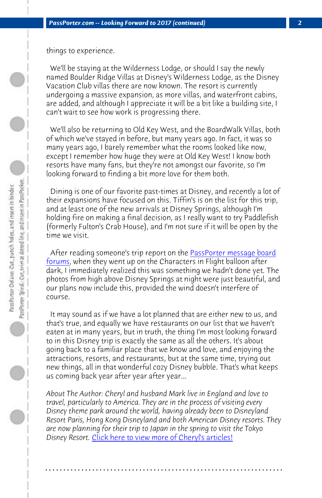things to experience.

 We'll be staying at the Wilderness Lodge, or should I say the newly named Boulder Ridge Villas at Disney's Wilderness Lodge, as the Disney Vacation Club villas there are now known. The resort is currently undergoing a massive expansion, as more villas, and waterfront cabins, are added, and although I appreciate it will [be a bit like a building site, I](http://www.passporterboards.com/forums/index.php) [can](http://www.passporterboards.com/forums/index.php)'[t wa](http://www.passporterboards.com/forums/index.php)it to see how work is progressing there.

 We'll also be returning to Old Key West, and the BoardWalk Villas, both of which we've stayed in before, but many years ago. In fact, it was so many years ago, I barely remember what the rooms looked like now, except I remember how huge they were at Old Key West! I know both resorts have many fans, but they're not amongst our favorite, so I'm looking forward to finding a bit more love for them both.

 Dining is one of our favorite past-times at Disney, and recently a lot of their expansions have focused on this. Tiffin's is on the list for this trip, and at least one of the new arrivals at Disney Springs, although I'm holding fire on making a final decision, as I really want to try Paddlefish (formerly Fulton's Crab House), and I'm not sure if it will be open by the time we visit.

 After reading someone's trip report on the PassPorter message board forums, when they went up on the Characters in Flight balloon after dark, I immediately realized this was something we hadn't done yet. The photos from high above Disney Springs at night were just beautiful, and our plans no[w include this, provided the wind doesn](http://www.passporter.com/articles/cheryl-pendry-featured-columnist.asp)'[t inte](http://www.passporter.com/articles/cheryl-pendry-featured-columnist.asp)rfere of course.

 It may sound as if we have a lot planned that are either new to us, and that's true, and equally we have restaurants on our list that we haven't eaten at in many years, but in truth, the thing I'm most looking forward to in this Disney trip is exactly the same as all the others. It's about going back to a familiar place that we know and love, and enjoying the attractions, resorts, and restaurants, but at the same time, trying out new things, all in that wonderful cozy Disney bubble. That's what keeps us coming back year after year after year...

*About The Author: Cheryl and husband Mark live in England and love to travel, particularly to America. They are in the process of visiting every Disney theme park around the world, having already been to Disneyland Resort Paris, Hong Kong Disneyland and both American Disney resorts. They are now planning for their trip to Japan in the spring to visit the Tokyo Disney Resort.* Click here to view more of Cheryl's articles!

**. . . . . . . . . . . . . . . . . . . . . . . . . . . . . . . . . . . . . . . . . . . . . . . . . . . . . . . . . . . . . . . . . .**

 $\circ$